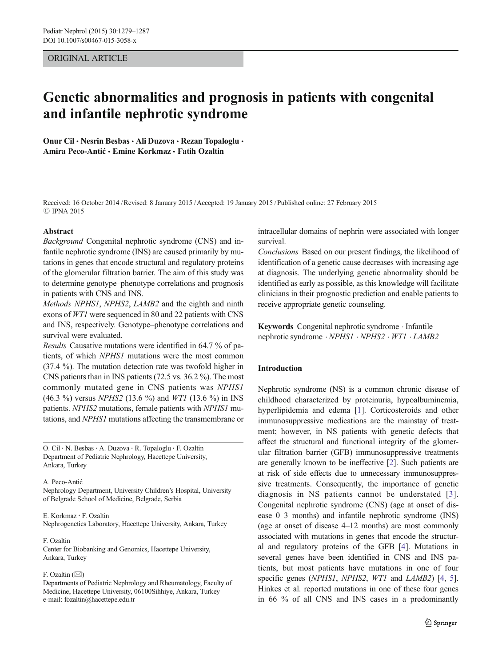# ORIGINAL ARTICLE

# Genetic abnormalities and prognosis in patients with congenital and infantile nephrotic syndrome

Onur Cil · Nesrin Besbas · Ali Duzova · Rezan Topaloglu · Amira Peco-Antić · Emine Korkmaz · Fatih Ozaltin

Received: 16 October 2014 /Revised: 8 January 2015 /Accepted: 19 January 2015 /Published online: 27 February 2015 **C IPNA 2015** 

# Abstract

Background Congenital nephrotic syndrome (CNS) and infantile nephrotic syndrome (INS) are caused primarily by mutations in genes that encode structural and regulatory proteins of the glomerular filtration barrier. The aim of this study was to determine genotype–phenotype correlations and prognosis in patients with CNS and INS.

Methods NPHS1, NPHS2, LAMB2 and the eighth and ninth exons of WT1 were sequenced in 80 and 22 patients with CNS and INS, respectively. Genotype–phenotype correlations and survival were evaluated.

Results Causative mutations were identified in 64.7 % of patients, of which NPHS1 mutations were the most common (37.4 %). The mutation detection rate was twofold higher in CNS patients than in INS patients (72.5 vs. 36.2 %). The most commonly mutated gene in CNS patients was NPHS1 (46.3 %) versus NPHS2 (13.6 %) and WT1 (13.6 %) in INS patients. NPHS2 mutations, female patients with NPHS1 mutations, and NPHS1 mutations affecting the transmembrane or

O. Cil : N. Besbas: A. Duzova : R. Topaloglu : F. Ozaltin Department of Pediatric Nephrology, Hacettepe University, Ankara, Turkey

#### A. Peco-Antić

Nephrology Department, University Children's Hospital, University of Belgrade School of Medicine, Belgrade, Serbia

#### E. Korkmaz : F. Ozaltin

Nephrogenetics Laboratory, Hacettepe University, Ankara, Turkey

#### F. Ozaltin

Center for Biobanking and Genomics, Hacettepe University, Ankara, Turkey

#### F. Ozaltin  $(\boxtimes)$

Departments of Pediatric Nephrology and Rheumatology, Faculty of Medicine, Hacettepe University, 06100Sihhiye, Ankara, Turkey e-mail: fozaltin@hacettepe.edu.tr

intracellular domains of nephrin were associated with longer survival.

Conclusions Based on our present findings, the likelihood of identification of a genetic cause decreases with increasing age at diagnosis. The underlying genetic abnormality should be identified as early as possible, as this knowledge will facilitate clinicians in their prognostic prediction and enable patients to receive appropriate genetic counseling.

Keywords Congenital nephrotic syndrome . Infantile nephrotic syndrome . NPHS1 . NPHS2 . WT1 . LAMB2

# Introduction

Nephrotic syndrome (NS) is a common chronic disease of childhood characterized by proteinuria, hypoalbuminemia, hyperlipidemia and edema [[1\]](#page-7-0). Corticosteroids and other immunosuppressive medications are the mainstay of treatment; however, in NS patients with genetic defects that affect the structural and functional integrity of the glomerular filtration barrier (GFB) immunosuppressive treatments are generally known to be ineffective [\[2\]](#page-7-0). Such patients are at risk of side effects due to unnecessary immunosuppressive treatments. Consequently, the importance of genetic diagnosis in NS patients cannot be understated [[3](#page-7-0)]. Congenital nephrotic syndrome (CNS) (age at onset of disease 0–3 months) and infantile nephrotic syndrome (INS) (age at onset of disease 4–12 months) are most commonly associated with mutations in genes that encode the structural and regulatory proteins of the GFB [\[4](#page-7-0)]. Mutations in several genes have been identified in CNS and INS patients, but most patients have mutations in one of four specific genes (NPHS1, NPHS2, WT1 and LAMB2) [\[4](#page-7-0), [5\]](#page-7-0). Hinkes et al. reported mutations in one of these four genes in 66 % of all CNS and INS cases in a predominantly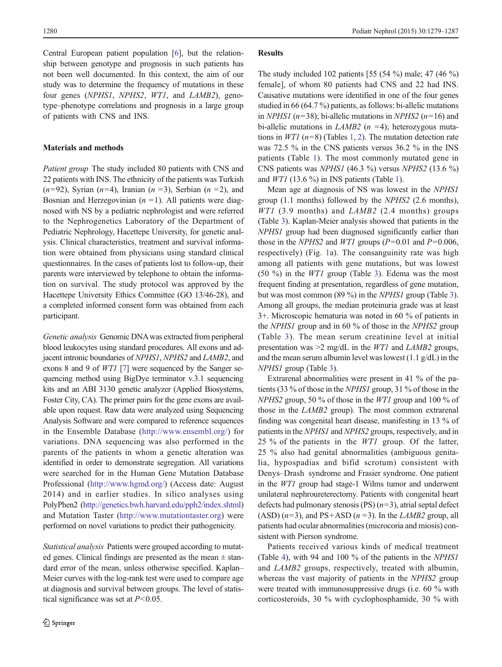Central European patient population [\[6](#page-7-0)], but the relationship between genotype and prognosis in such patients has not been well documented. In this context, the aim of our study was to determine the frequency of mutations in these four genes (NPHS1, NPHS2, WT1, and LAMB2), genotype–phenotype correlations and prognosis in a large group of patients with CNS and INS.

# Materials and methods

Patient group The study included 80 patients with CNS and 22 patients with INS. The ethnicity of the patients was Turkish  $(n=92)$ , Syrian  $(n=4)$ , Iranian  $(n=3)$ , Serbian  $(n=2)$ , and Bosnian and Herzegovinian  $(n = 1)$ . All patients were diagnosed with NS by a pediatric nephrologist and were referred to the Nephrogenetics Laboratory of the Department of Pediatric Nephrology, Hacettepe University, for genetic analysis. Clinical characteristics, treatment and survival information were obtained from physicians using standard clinical questionnaires. In the cases of patients lost to follow-up, their parents were interviewed by telephone to obtain the information on survival. The study protocol was approved by the Hacettepe University Ethics Committee (GO 13/46-28), and a completed informed consent form was obtained from each participant.

Genetic analysis Genomic DNAwas extracted from peripheral blood leukocytes using standard procedures. All exons and adjacent intronic boundaries of NPHS1, NPHS2 and LAMB2, and exons 8 and 9 of WT1 [\[7](#page-7-0)] were sequenced by the Sanger sequencing method using BigDye terminator v.3.1 sequencing kits and an ABI 3130 genetic analyzer (Applied Biosystems, Foster City, CA). The primer pairs for the gene exons are available upon request. Raw data were analyzed using Sequencing Analysis Software and were compared to reference sequences in the Ensemble Database [\(http://www.ensembl.org/](http://www.ensembl.org/)) for variations. DNA sequencing was also performed in the parents of the patients in whom a genetic alteration was identified in order to demonstrate segregation. All variations were searched for in the Human Gene Mutation Database Professional [\(http://www.hgmd.org/](http://www.hgmd.org/)) (Access date: August 2014) and in earlier studies. In silico analyses using PolyPhen2 ([http://genetics.bwh.harvard.edu/pph2/index.shtml\)](http://genetics.bwh.harvard.edu/pph2/index.shtml) and Mutation Taster ([http://www.mutationtaster.org](http://www.mutationtaster.org/)) were performed on novel variations to predict their pathogenicity.

Statistical analysis Patients were grouped according to mutated genes. Clinical findings are presented as the mean  $\pm$  standard error of the mean, unless otherwise specified. Kaplan– Meier curves with the log-rank test were used to compare age at diagnosis and survival between groups. The level of statistical significance was set at  $P<0.05$ .

### Results

The study included 102 patients [55 (54 %) male; 47 (46 %) female], of whom 80 patients had CNS and 22 had INS. Causative mutations were identified in one of the four genes studied in 66 (64.7 %) patients, as follows: bi-allelic mutations in NPHS1 ( $n=38$ ); bi-allelic mutations in NPHS2 ( $n=16$ ) and bi-allelic mutations in *LAMB2* ( $n = 4$ ); heterozygous mutations in  $WT1$  ( $n=8$ ) (Tables [1,](#page-2-0) [2\)](#page-3-0). The mutation detection rate was 72.5 % in the CNS patients versus 36.2 % in the INS patients (Table [1](#page-2-0)). The most commonly mutated gene in CNS patients was NPHS1 (46.3 %) versus NPHS2 (13.6 %) and  $WT1$  (13.6 %) in INS patients (Table [1\)](#page-2-0).

Mean age at diagnosis of NS was lowest in the NPHS1 group (1.1 months) followed by the NPHS2 (2.6 months),  $WT1$  (3.9 months) and  $LAMB2$  (2.4 months) groups (Table [3\)](#page-4-0). Kaplan-Meier analysis showed that patients in the NPHS1 group had been diagnosed significantly earlier than those in the NPHS2 and WT1 groups ( $P=0.01$  and  $P=0.006$ , respectively) (Fig. [1a](#page-4-0)). The consanguinity rate was high among all patients with gene mutations, but was lowest (50 %) in the WT1 group (Table [3](#page-4-0)). Edema was the most frequent finding at presentation, regardless of gene mutation, but was most common (89 %) in the NPHS1 group (Table [3\)](#page-4-0). Among all groups, the median proteinuria grade was at least 3+. Microscopic hematuria was noted in 60 % of patients in the NPHS1 group and in 60 % of those in the NPHS2 group (Table [3\)](#page-4-0). The mean serum creatinine level at initial presentation was  $\geq 2$  mg/dL in the *WT1* and *LAMB2* groups, and the mean serum albumin level was lowest (1.1 g/dL) in the NPHS1 group (Table [3\)](#page-4-0).

Extrarenal abnormalities were present in 41 % of the patients (33 % of those in the NPHS1 group, 31 % of those in the NPHS2 group, 50 % of those in the *WT1* group and 100 % of those in the LAMB2 group). The most common extrarenal finding was congenital heart disease, manifesting in 13 % of patients in the NPHS1 and NPHS2 groups, respectively, and in 25 % of the patients in the WT1 group. Of the latter, 25 % also had genital abnormalities (ambiguous genitalia, hypospadias and bifid scrotum) consistent with Denys–Drash syndrome and Frasier syndrome. One patient in the WT1 group had stage-1 Wilms tumor and underwent unilateral nephroureterectomy. Patients with congenital heart defects had pulmonary stenosis (PS)  $(n=3)$ , atrial septal defect (ASD)  $(n=3)$ , and PS+ASD  $(n=3)$ . In the *LAMB2* group, all patients had ocular abnormalities (microcoria and miosis) consistent with Pierson syndrome.

Patients received various kinds of medical treatment (Table [4\)](#page-5-0), with 94 and 100 % of the patients in the NPHS1 and LAMB2 groups, respectively, treated with albumin, whereas the vast majority of patients in the NPHS2 group were treated with immunosuppressive drugs (i.e. 60 % with corticosteroids, 30 % with cyclophosphamide, 30 % with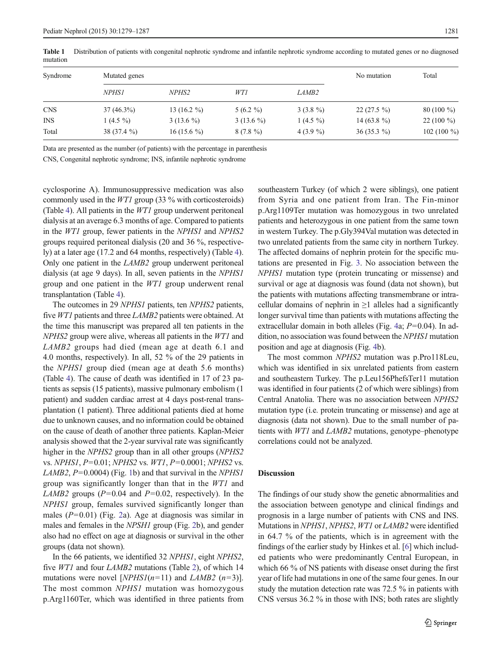| Syndrome   | Mutated genes |               |             |                   | No mutation  | Total           |
|------------|---------------|---------------|-------------|-------------------|--------------|-----------------|
|            | <i>NPHS1</i>  | <i>NPHS2</i>  | WT1         | LAMB <sub>2</sub> |              |                 |
| <b>CNS</b> | $37(46.3\%)$  | 13 $(16.2\%)$ | $5(6.2\%)$  | $3(3.8\%)$        | $22(27.5\%)$ | $80(100\%)$     |
| <b>INS</b> | 1 $(4.5\%$    | $3(13.6\%)$   | $3(13.6\%)$ | 1 $(4.5\%$        | 14 $(63.8\%$ | $22(100\%)$     |
| Total      | $38(37.4\%)$  | $16(15.6\%)$  | $8(7.8\%)$  | 4 $(3.9\%$        | $36(35.3\%)$ | 102 (100 $\%$ ) |

<span id="page-2-0"></span>Table 1 Distribution of patients with congenital nephrotic syndrome and infantile nephrotic syndrome according to mutated genes or no diagnosed mutation

Data are presented as the number (of patients) with the percentage in parenthesis

CNS, Congenital nephrotic syndrome; INS, infantile nephrotic syndrome

cyclosporine A). Immunosuppressive medication was also commonly used in the WT1 group (33 % with corticosteroids) (Table [4\)](#page-5-0). All patients in the WT1 group underwent peritoneal dialysis at an average 6.3 months of age. Compared to patients in the WT1 group, fewer patients in the NPHS1 and NPHS2 groups required peritoneal dialysis (20 and 36 %, respectively) at a later age (17.2 and 64 months, respectively) (Table [4\)](#page-5-0). Only one patient in the LAMB2 group underwent peritoneal dialysis (at age 9 days). In all, seven patients in the NPHS1 group and one patient in the WT1 group underwent renal transplantation (Table [4\)](#page-5-0).

The outcomes in 29 NPHS1 patients, ten NPHS2 patients, five WT1 patients and three LAMB2 patients were obtained. At the time this manuscript was prepared all ten patients in the NPHS2 group were alive, whereas all patients in the WT1 and LAMB2 groups had died (mean age at death 6.1 and 4.0 months, respectively). In all, 52 % of the 29 patients in the NPHS1 group died (mean age at death 5.6 months) (Table [4\)](#page-5-0). The cause of death was identified in 17 of 23 patients as sepsis (15 patients), massive pulmonary embolism (1 patient) and sudden cardiac arrest at 4 days post-renal transplantation (1 patient). Three additional patients died at home due to unknown causes, and no information could be obtained on the cause of death of another three patients. Kaplan-Meier analysis showed that the 2-year survival rate was significantly higher in the NPHS2 group than in all other groups (NPHS2 vs. NPHS1, P=0.01; NPHS2 vs. WT1, P=0.0001; NPHS2 vs. LAMB2,  $P=0.0004$ ) (Fig. [1b](#page-4-0)) and that survival in the NPHS1 group was significantly longer than that in the WT1 and LAMB2 groups ( $P=0.04$  and  $P=0.02$ , respectively). In the NPHS1 group, females survived significantly longer than males  $(P=0.01)$  (Fig. [2a](#page-5-0)). Age at diagnosis was similar in males and females in the NPSH1 group (Fig. [2](#page-5-0)b), and gender also had no effect on age at diagnosis or survival in the other groups (data not shown).

In the 66 patients, we identified 32 NPHS1, eight NPHS2, five WT1 and four LAMB2 mutations (Table [2](#page-3-0)), of which 14 mutations were novel [NPHS1(n=11) and LAMB2 (n=3)]. The most common *NPHS1* mutation was homozygous p.Arg1160Ter, which was identified in three patients from southeastern Turkey (of which 2 were siblings), one patient from Syria and one patient from Iran. The Fin-minor p.Arg1109Ter mutation was homozygous in two unrelated patients and heterozygous in one patient from the same town in western Turkey. The p.Gly394Val mutation was detected in two unrelated patients from the same city in northern Turkey. The affected domains of nephrin protein for the specific mutations are presented in Fig. [3](#page-6-0). No association between the NPHS1 mutation type (protein truncating or missense) and survival or age at diagnosis was found (data not shown), but the patients with mutations affecting transmembrane or intracellular domains of nephrin in  $\geq 1$  alleles had a significantly longer survival time than patients with mutations affecting the extracellular domain in both alleles (Fig. [4a](#page-6-0);  $P=0.04$ ). In addition, no association was found between the NPHS1 mutation position and age at diagnosis (Fig. [4b](#page-6-0)).

The most common NPHS2 mutation was p.Pro118Leu, which was identified in six unrelated patients from eastern and southeastern Turkey. The p.Leu156PhefsTer11 mutation was identified in four patients (2 of which were siblings) from Central Anatolia. There was no association between NPHS2 mutation type (i.e. protein truncating or missense) and age at diagnosis (data not shown). Due to the small number of patients with WT1 and LAMB2 mutations, genotype–phenotype correlations could not be analyzed.

# Discussion

The findings of our study show the genetic abnormalities and the association between genotype and clinical findings and prognosis in a large number of patients with CNS and INS. Mutations in NPHS1, NPHS2, WT1 or LAMB2 were identified in 64.7 % of the patients, which is in agreement with the findings of the earlier study by Hinkes et al. [\[6](#page-7-0)] which included patients who were predominantly Central European, in which 66 % of NS patients with disease onset during the first year of life had mutations in one of the same four genes. In our study the mutation detection rate was 72.5 % in patients with CNS versus 36.2 % in those with INS; both rates are slightly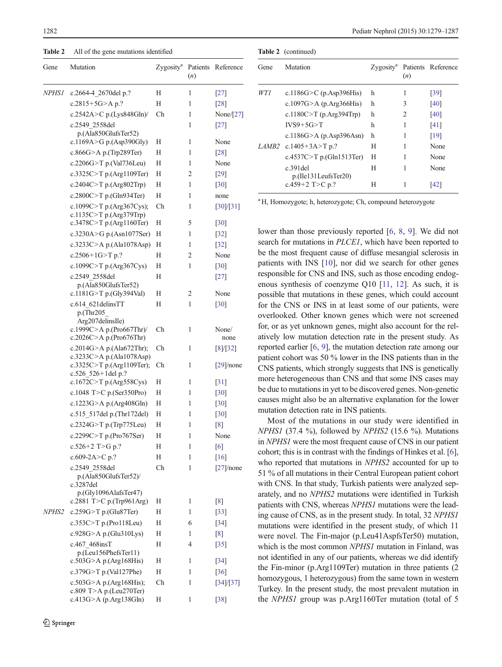<span id="page-3-0"></span>Table 2 All of the gene mutations identified

| Gene         | Mutation                                             | Zygosity <sup>a</sup> | (n) | Patients Reference |
|--------------|------------------------------------------------------|-----------------------|-----|--------------------|
| <i>NPHSI</i> | c.2664-4 2670del p.?                                 | Н                     | 1   | $[27]$             |
|              | c.2815+5G>A p.?                                      | Н                     | 1   | [28]               |
|              | c.2542A>C p.(Lys848Gln)/                             | Ch                    | 1   | None/[27]          |
|              | c.2549 2558del                                       |                       | 1   | $[27]$             |
|              | p.(Ala850GlufsTer52)<br>c.1169A>G p.(Asp390Gly)      | Н                     | 1   | None               |
|              | c.866G $>$ A p.(Trp289Ter)                           | Н                     | 1   | [28]               |
|              | c.2206G>T p.(Val736Leu)                              | Н                     | 1   | None               |
|              |                                                      | Н                     | 2   |                    |
|              | c.3325C>T p.(Arg1109Ter)                             |                       |     | [29]               |
|              | c.2404C>T p.(Arg802Trp)                              | Н                     | 1   | [30]               |
|              | c.2800C>T p.(Gln934Ter)                              | Н                     | 1   | none               |
|              | c.1099C>T p.(Arg367Cys);<br>c.1135C>T p.(Arg379Trp)  | Ch                    | 1   | [30]/[31]          |
|              | c.3478C>T p.(Arg1160Ter)                             | Н                     | 5   | [30]               |
|              | c.3230A>G p.(Asn1077Ser)                             | Н                     | 1   | $[32]$             |
|              | c.3233C>A p.(Ala1078Asp)                             | Н                     | 1   | $[32]$             |
|              | c.2506+1G>T p.?                                      | Н                     | 2   | None               |
|              | c.1099C>T p.(Arg367Cys)                              | Н                     | 1   | [30]               |
|              | c.2549 2558del                                       | Н                     |     | $[27]$             |
|              | p.(Ala850GlufsTer52)<br>c.1181G>T p.(Gly394Val)      | Η                     | 2   | None               |
|              | c.614 621 delinsTT                                   | Н                     | 1   | [30]               |
|              | p.(Thr205)<br>Arg207delinsIle)                       |                       |     |                    |
|              | c.1999C>A p.(Pro667Thr)/<br>c.2026C>A p.(Pro676Thr)  | Ch                    | 1   | None/<br>none      |
|              | c.2014G>A p.(Ala672Thr);<br>c.3233C>A p.(Ala1078Asp) | Ch                    | 1   | [8]/[32]           |
|              | c.3325C>T p.(Arg1109Ter);<br>c.526 $526 + 1$ del p.? | Ch                    | 1   | $[29]$ /none       |
|              | c.1672C>T p.(Arg558Cys)                              | Н                     | 1   | [31]               |
|              | c.1048 T>C p.(Ser350Pro)                             | Н                     | 1   | [30]               |
|              | c.1223G>A p.(Arg408Gln)                              | Н                     | 1   | $[30]$             |
|              | c.515_517del p.(Thr172del)                           | Н                     | 1   | $[30]$             |
|              | c.2324G>T p.(Trp775Leu)                              | Н                     | 1   | [8]                |
|              | c.2299C>T p.(Pro767Ser)                              | Н                     | 1   | None               |
|              | c.526+2 T>G p.?                                      | Η                     | 1   | [6]                |
|              | c.609-2A>C p.?                                       | Н                     | 1   | $[16]$             |
|              | c.2549 2558del                                       | Ch                    | 1   | $[27]$ /none       |
|              | p.(Ala850GlufsTer52)/<br>c.3287del                   |                       |     |                    |
|              | p.(Gly1096AlafsTer47)                                |                       |     |                    |
|              | c.2881 T>C p.(Trp961Arg)                             | Η                     | 1   | [8]                |
| <i>NPHS2</i> | c.259G>T p.(Glu87Ter)                                | Н                     | 1   | $[33]$             |
|              | c.353C $>$ T p.(Pro118Leu)                           | Н                     | 6   | $[34]$             |
|              | c.928G>A p.(Glu310Lys)                               | Н                     | 1   | [8]                |
|              | c.467 468insT<br>p.(Leu156PhefsTer11)                | Н                     | 4   | $[35]$             |
|              | $c.503G$ >A p.(Arg168His)                            | Η                     | 1   | $[34]$             |
|              | c.379G>T p.(Val127Phe)                               | Η                     | 1   | $[36]$             |
|              | c.503G>A p.(Arg168His);<br>c.809 T>A p.(Leu270Ter)   | Ch                    | 1   | [34]/[37]          |
|              | c.413G>A (p.Arg138Gln)                               | Н                     | 1   | $[38]$             |

|              | <b>Table 2</b> (continued)             |   |     |                                          |
|--------------|----------------------------------------|---|-----|------------------------------------------|
| Gene         | Mutation                               |   | (n) | Zygosity <sup>a</sup> Patients Reference |
| WT 1         | c.1186G $>$ C (p.Asp396His)            | h |     | [39]                                     |
|              | c.1097G > A (p.Arg366His)              | h | 3   | [40]                                     |
|              | c.1180C>T (p.Arg394Trp)                | h | 2   | [40]                                     |
|              | $IVS9+5G>T$                            | h | 1   | [41]                                     |
|              | c.1186G>A (p.Asp396Asn)                | h |     | [19]                                     |
| <i>LAMB2</i> | c.1405+3A>T p.?                        | H |     | None                                     |
|              | c.4537C>T p.(Gln1513Ter)               | Н |     | None                                     |
|              | $c.391$ del<br>$p.($ Ile131LeufsTer20) | Н | 1   | None                                     |
|              | c.459+2 T>C p.?                        | Н |     | 142                                      |

<sup>a</sup> H, Homozygote; h, heterozygote; Ch, compound heterozygote

lower than those previously reported [[6,](#page-7-0) [8](#page-7-0), [9](#page-7-0)]. We did not search for mutations in *PLCE1*, which have been reported to be the most frequent cause of diffuse mesangial sclerosis in patients with INS [[10\]](#page-7-0), nor did we search for other genes responsible for CNS and INS, such as those encoding endogenous synthesis of coenzyme Q10 [[11](#page-7-0), [12\]](#page-7-0). As such, it is possible that mutations in these genes, which could account for the CNS or INS in at least some of our patients, were overlooked. Other known genes which were not screened for, or as yet unknown genes, might also account for the relatively low mutation detection rate in the present study. As reported earlier [\[6](#page-7-0), [9](#page-7-0)], the mutation detection rate among our patient cohort was 50 % lower in the INS patients than in the CNS patients, which strongly suggests that INS is genetically more heterogeneous than CNS and that some INS cases may be due to mutations in yet to be discovered genes. Non-genetic causes might also be an alternative explanation for the lower mutation detection rate in INS patients.

Most of the mutations in our study were identified in NPHS1 (37.4 %), followed by NPHS2 (15.6 %). Mutations in NPHS1 were the most frequent cause of CNS in our patient cohort; this is in contrast with the findings of Hinkes et al. [[6\]](#page-7-0), who reported that mutations in NPHS2 accounted for up to 51 % of all mutations in their Central European patient cohort with CNS. In that study, Turkish patients were analyzed separately, and no NPHS2 mutations were identified in Turkish patients with CNS, whereas NPHS1 mutations were the leading cause of CNS, as in the present study. In total, 32 NPHS1 mutations were identified in the present study, of which 11 were novel. The Fin-major (p.Leu41AspfsTer50) mutation, which is the most common NPHS1 mutation in Finland, was not identified in any of our patients, whereas we did identify the Fin-minor (p.Arg1109Ter) mutation in three patients (2 homozygous, 1 heterozygous) from the same town in western Turkey. In the present study, the most prevalent mutation in the NPHS1 group was p.Arg1160Ter mutation (total of 5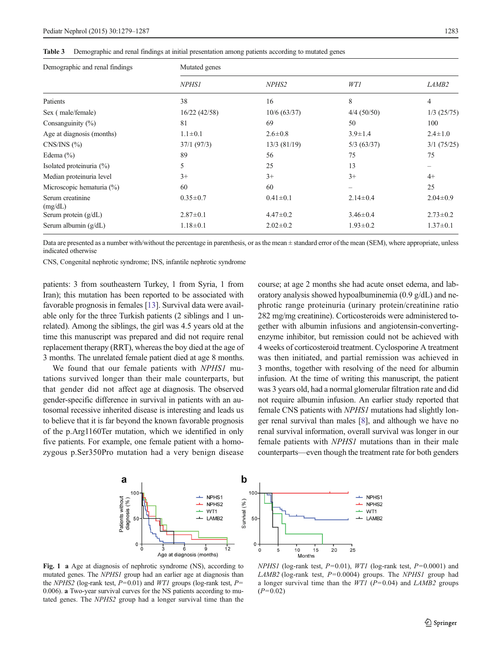<span id="page-4-0"></span>

| <b>Table 3</b> | Demographic and renal findings at initial presentation among patients according to mutated genes |  |  |  |  |  |
|----------------|--------------------------------------------------------------------------------------------------|--|--|--|--|--|
|----------------|--------------------------------------------------------------------------------------------------|--|--|--|--|--|

| Demographic and renal findings | Mutated genes  |                |                |                |  |  |
|--------------------------------|----------------|----------------|----------------|----------------|--|--|
|                                | <i>NPHS1</i>   | NPHS2          | WT1            | <i>LAMB2</i>   |  |  |
| Patients                       | 38             | 16             | 8              | 4              |  |  |
| Sex (male/female)              | 16/22(42/58)   | 10/6(63/37)    | $4/4$ (50/50)  | $1/3$ (25/75)  |  |  |
| Consanguinity $(\% )$          | 81             | 69             | 50             | 100            |  |  |
| Age at diagnosis (months)      | $1.1 \pm 0.1$  | $2.6 \pm 0.8$  | $3.9 \pm 1.4$  | $2.4 \pm 1.0$  |  |  |
| CNS/INS(%)                     | 37/1(97/3)     | $13/3$ (81/19) | 5/3(63/37)     | 3/1 (75/25)    |  |  |
| Edema $(\% )$                  | 89             | 56             | 75             | 75             |  |  |
| Isolated proteinuria $(\%)$    | 5              | 25             | 13             |                |  |  |
| Median proteinuria level       | $3+$           | $3+$           | $3+$           | $4+$           |  |  |
| Microscopic hematuria $(\%)$   | 60             | 60             |                | 25             |  |  |
| Serum creatinine<br>(mg/dL)    | $0.35 \pm 0.7$ | $0.41 \pm 0.1$ | $2.14 \pm 0.4$ | $2.04 \pm 0.9$ |  |  |
| Serum protein $(g/dL)$         | $2.87 \pm 0.1$ | $4.47 \pm 0.2$ | $3.46 \pm 0.4$ | $2.73 \pm 0.2$ |  |  |
| Serum albumin $(g/dL)$         | $1.18 \pm 0.1$ | $2.02 \pm 0.2$ | $1.93 \pm 0.2$ | $1.37 \pm 0.1$ |  |  |

Data are presented as a number with/without the percentage in parenthesis, or as the mean  $\pm$  standard error of the mean (SEM), where appropriate, unless indicated otherwise

CNS, Congenital nephrotic syndrome; INS, infantile nephrotic syndrome

patients: 3 from southeastern Turkey, 1 from Syria, 1 from Iran); this mutation has been reported to be associated with favorable prognosis in females [\[13\]](#page-7-0). Survival data were available only for the three Turkish patients (2 siblings and 1 unrelated). Among the siblings, the girl was 4.5 years old at the time this manuscript was prepared and did not require renal replacement therapy (RRT), whereas the boy died at the age of 3 months. The unrelated female patient died at age 8 months.

We found that our female patients with NPHS1 mutations survived longer than their male counterparts, but that gender did not affect age at diagnosis. The observed gender-specific difference in survival in patients with an autosomal recessive inherited disease is interesting and leads us to believe that it is far beyond the known favorable prognosis of the p.Arg1160Ter mutation, which we identified in only five patients. For example, one female patient with a homozygous p.Ser350Pro mutation had a very benign disease course; at age 2 months she had acute onset edema, and laboratory analysis showed hypoalbuminemia (0.9 g/dL) and nephrotic range proteinuria (urinary protein/creatinine ratio 282 mg/mg creatinine). Corticosteroids were administered together with albumin infusions and angiotensin-convertingenzyme inhibitor, but remission could not be achieved with 4 weeks of corticosteroid treatment. Cyclosporine A treatment was then initiated, and partial remission was achieved in 3 months, together with resolving of the need for albumin infusion. At the time of writing this manuscript, the patient was 3 years old, had a normal glomerular filtration rate and did not require albumin infusion. An earlier study reported that female CNS patients with NPHS1 mutations had slightly longer renal survival than males [[8](#page-7-0)], and although we have no renal survival information, overall survival was longer in our female patients with NPHS1 mutations than in their male counterparts—even though the treatment rate for both genders



Fig. 1 a Age at diagnosis of nephrotic syndrome (NS), according to mutated genes. The NPHS1 group had an earlier age at diagnosis than the NPHS2 (log-rank test,  $P=0.01$ ) and WT1 groups (log-rank test,  $P=$ 0.006). a Two-year survival curves for the NS patients according to mutated genes. The NPHS2 group had a longer survival time than the

 $NPHSI$  (log-rank test,  $P=0.01$ ),  $WTI$  (log-rank test,  $P=0.0001$ ) and LAMB2 (log-rank test,  $P=0.0004$ ) groups. The NPHS1 group had a longer survival time than the WT1 ( $P=0.04$ ) and LAMB2 groups  $(P=0.02)$ 

25

NPH<sub>S1</sub>

LAMB<sub>2</sub>

 $\overline{\phantom{a}}$ NPHS<sub>2</sub>

 $-$  WT1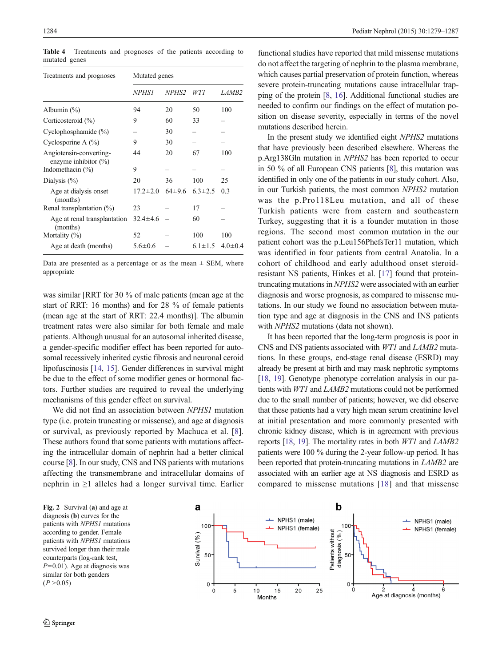| Treatments and prognoses                           | Mutated genes  |                   |               |               |  |
|----------------------------------------------------|----------------|-------------------|---------------|---------------|--|
|                                                    | <i>NPHSI</i>   | NPHS <sub>2</sub> | WT 1          | LAMB2         |  |
| Albumin $(\% )$                                    | 94             | 20                | 50            | 100           |  |
| Corticosteroid (%)                                 | 9              | 60                | 33            |               |  |
| Cyclophosphamide $(\% )$                           |                | 30                |               |               |  |
| Cyclosporine A $(\%)$                              | 9              | 30                |               |               |  |
| Angiotensin-converting-<br>enzyme inhibitor $(\%)$ | 44             | 20                | 67            | 100           |  |
| Indomethacin (%)                                   | 9              |                   |               |               |  |
| Dialysis $(\% )$                                   | 20             | 36                | 100           | 25            |  |
| Age at dialysis onset<br>(months)                  | $17.2 \pm 2.0$ | $64\pm9.6$        | $6.3 \pm 2.5$ | 0.3           |  |
| Renal transplantation $(\% )$                      | 23             |                   | 17            |               |  |
| Age at renal transplantation<br>(months)           | $32.4 \pm 4.6$ |                   | 60            |               |  |
| Mortality $(\%)$                                   | 52             |                   | 100           | 100           |  |
| Age at death (months)                              | $5.6 \pm 0.6$  |                   | $6.1 \pm 1.5$ | $4.0 \pm 0.4$ |  |

Table 4 Treatments and prognoses of the patients according to mutated genes

Data are presented as a percentage or as the mean  $\pm$  SEM, where appropriate

was similar [RRT for 30 % of male patients (mean age at the start of RRT: 16 months) and for 28 % of female patients (mean age at the start of RRT: 22.4 months)]. The albumin treatment rates were also similar for both female and male patients. Although unusual for an autosomal inherited disease, a gender-specific modifier effect has been reported for autosomal recessively inherited cystic fibrosis and neuronal ceroid lipofuscinosis [[14,](#page-7-0) [15\]](#page-7-0). Gender differences in survival might be due to the effect of some modifier genes or hormonal factors. Further studies are required to reveal the underlying mechanisms of this gender effect on survival.

We did not find an association between NPHS1 mutation type (i.e. protein truncating or missense), and age at diagnosis or survival, as previously reported by Machuca et al. [\[8](#page-7-0)]. These authors found that some patients with mutations affecting the intracellular domain of nephrin had a better clinical course [[8](#page-7-0)]. In our study, CNS and INS patients with mutations affecting the transmembrane and intracellular domains of nephrin in ≥1 alleles had a longer survival time. Earlier

<span id="page-5-0"></span>1284 Pediatr Nephrol (2015) 30:1279–1287

functional studies have reported that mild missense mutations do not affect the targeting of nephrin to the plasma membrane, which causes partial preservation of protein function, whereas severe protein-truncating mutations cause intracellular trapping of the protein [[8](#page-7-0), [16\]](#page-7-0). Additional functional studies are needed to confirm our findings on the effect of mutation position on disease severity, especially in terms of the novel mutations described herein.

In the present study we identified eight NPHS2 mutations that have previously been described elsewhere. Whereas the p.Arg138Gln mutation in NPHS2 has been reported to occur in 50 % of all European CNS patients [\[8\]](#page-7-0), this mutation was identified in only one of the patients in our study cohort. Also, in our Turkish patients, the most common NPHS2 mutation was the p.Pro118Leu mutation, and all of these Turkish patients were from eastern and southeastern Turkey, suggesting that it is a founder mutation in those regions. The second most common mutation in the our patient cohort was the p.Leu156PhefsTer11 mutation, which was identified in four patients from central Anatolia. In a cohort of childhood and early adulthood onset steroidresistant NS patients, Hinkes et al. [\[17](#page-7-0)] found that proteintruncating mutations in NPHS2 were associated with an earlier diagnosis and worse prognosis, as compared to missense mutations. In our study we found no association between mutation type and age at diagnosis in the CNS and INS patients with *NPHS2* mutations (data not shown).

It has been reported that the long-term prognosis is poor in CNS and INS patients associated with WT1 and LAMB2 mutations. In these groups, end-stage renal disease (ESRD) may already be present at birth and may mask nephrotic symptoms [\[18,](#page-8-0) [19](#page-8-0)]. Genotype–phenotype correlation analysis in our patients with WT1 and LAMB2 mutations could not be performed due to the small number of patients; however, we did observe that these patients had a very high mean serum creatinine level at initial presentation and more commonly presented with chronic kidney disease, which is in agreement with previous reports [\[18,](#page-8-0) [19\]](#page-8-0). The mortality rates in both WT1 and LAMB2 patients were 100 % during the 2-year follow-up period. It has been reported that protein-truncating mutations in *LAMB2* are associated with an earlier age at NS diagnosis and ESRD as compared to missense mutations [\[18\]](#page-8-0) and that missense

Fig. 2 Survival (a) and age at diagnosis (b) curves for the patients with NPHS1 mutations according to gender. Female patients with NPHS1 mutations survived longer than their male counterparts (log-rank test,  $P=0.01$ ). Age at diagnosis was similar for both genders  $(P > 0.05)$ 

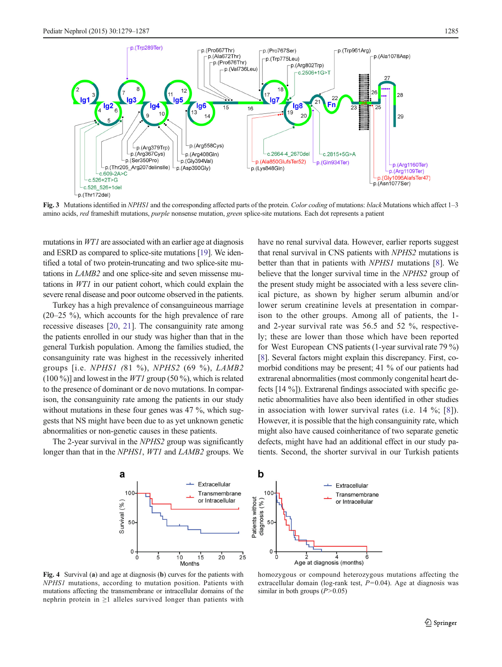<span id="page-6-0"></span>

Fig. 3 Mutations identified in NPHS1 and the corresponding affected parts of the protein. Color coding of mutations: black Mutations which affect 1–3 amino acids, red frameshift mutations, purple nonsense mutation, green splice-site mutations. Each dot represents a patient

mutations in WT1 are associated with an earlier age at diagnosis and ESRD as compared to splice-site mutations [\[19\]](#page-8-0). We identified a total of two protein-truncating and two splice-site mutations in LAMB2 and one splice-site and seven missense mutations in WT1 in our patient cohort, which could explain the severe renal disease and poor outcome observed in the patients.

Turkey has a high prevalence of consanguineous marriage (20–25 %), which accounts for the high prevalence of rare recessive diseases [[20,](#page-8-0) [21](#page-8-0)]. The consanguinity rate among the patients enrolled in our study was higher than that in the general Turkish population. Among the families studied, the consanguinity rate was highest in the recessively inherited groups [i.e. NPHS1 (81 %), NPHS2 (69 %), LAMB2  $(100\%)$ ] and lowest in the *WT1* group (50 %), which is related to the presence of dominant or de novo mutations. In comparison, the consanguinity rate among the patients in our study without mutations in these four genes was 47 %, which suggests that NS might have been due to as yet unknown genetic abnormalities or non-genetic causes in these patients.

The 2-year survival in the *NPHS2* group was significantly longer than that in the NPHS1, WT1 and LAMB2 groups. We have no renal survival data. However, earlier reports suggest that renal survival in CNS patients with NPHS2 mutations is better than that in patients with NPHS1 mutations [[8\]](#page-7-0). We believe that the longer survival time in the NPHS2 group of the present study might be associated with a less severe clinical picture, as shown by higher serum albumin and/or lower serum creatinine levels at presentation in comparison to the other groups. Among all of patients, the 1 and 2-year survival rate was 56.5 and 52 %, respectively; these are lower than those which have been reported for West European CNS patients (1-year survival rate 79 %) [\[8](#page-7-0)]. Several factors might explain this discrepancy. First, comorbid conditions may be present; 41 % of our patients had extrarenal abnormalities (most commonly congenital heart defects [14 %]). Extrarenal findings associated with specific genetic abnormalities have also been identified in other studies in association with lower survival rates (i.e. 14 %; [[8](#page-7-0)]). However, it is possible that the high consanguinity rate, which might also have caused coinheritance of two separate genetic defects, might have had an additional effect in our study patients. Second, the shorter survival in our Turkish patients



Fig. 4 Survival (a) and age at diagnosis (b) curves for the patients with NPHS1 mutations, according to mutation position. Patients with mutations affecting the transmembrane or intracellular domains of the nephrin protein in ≥1 alleles survived longer than patients with



homozygous or compound heterozygous mutations affecting the extracellular domain (log-rank test,  $P=0.04$ ). Age at diagnosis was similar in both groups  $(P>0.05)$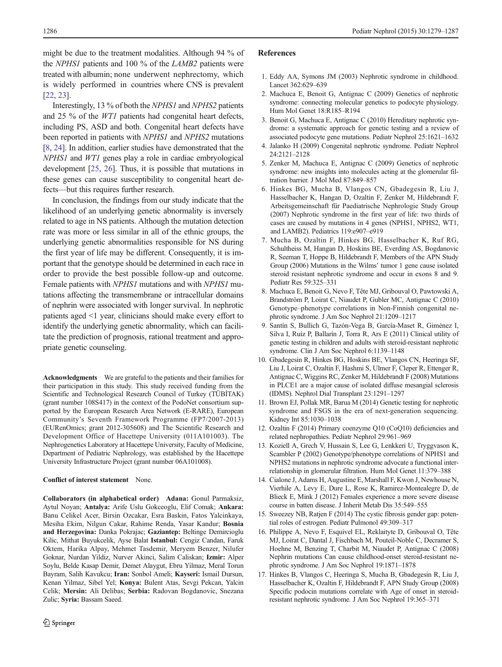<span id="page-7-0"></span>might be due to the treatment modalities. Although 94 % of the NPHS1 patients and 100 % of the LAMB2 patients were treated with albumin; none underwent nephrectomy, which is widely performed in countries where CNS is prevalent [\[22,](#page-8-0) [23\]](#page-8-0).

Interestingly, 13 % of both the NPHS1 and NPHS2 patients and 25 % of the WT1 patients had congenital heart defects, including PS, ASD and both. Congenital heart defects have been reported in patients with NPHS1 and NPHS2 mutations [8, [24\]](#page-8-0). In addition, earlier studies have demonstrated that the NPHS1 and WT1 genes play a role in cardiac embryological development [[25,](#page-8-0) [26](#page-8-0)]. Thus, it is possible that mutations in these genes can cause susceptibility to congenital heart defects—but this requires further research.

In conclusion, the findings from our study indicate that the likelihood of an underlying genetic abnormality is inversely related to age in NS patients. Although the mutation detection rate was more or less similar in all of the ethnic groups, the underlying genetic abnormalities responsible for NS during the first year of life may be different. Consequently, it is important that the genotype should be determined in each race in order to provide the best possible follow-up and outcome. Female patients with NPHS1 mutations and with NPHS1 mutations affecting the transmembrane or intracellular domains of nephrin were associated with longer survival. In nephrotic patients aged <1 year, clinicians should make every effort to identify the underlying genetic abnormality, which can facilitate the prediction of prognosis, rational treatment and appropriate genetic counseling.

Acknowledgments We are grateful to the patients and their families for their participation in this study. This study received funding from the Scientific and Technological Research Council of Turkey (TÜBİTAK) (grant number 108S417) in the context of the PodoNet consortium supported by the European Research Area Network (E-RARE), European Community's Seventh Framework Programme (FP7/2007-2013) (EURenOmics; grant 2012-305608) and The Scientific Research and Development Office of Hacettepe University (011A101003). The Nephrogenetics Laboratory at Hacettepe University, Faculty of Medicine, Department of Pediatric Nephrology, was established by the Hacettepe University Infrastructure Project (grant number 06A101008).

## Conflict of interest statement None.

Collaborators (in alphabetical order) Adana: Gonul Parmaksiz, Aytul Noyan; Antalya: Arife Uslu Gokceoglu, Elif Comak; Ankara: Banu Celikel Acer, Birsin Ozcakar, Esra Baskin, Fatos Yalcinkaya, Mesiha Ekim, Nilgun Cakar, Rahime Renda, Yasar Kandur; Bosnia and Herzegovina: Danka Pokrajac; Gaziantep: Beltinge Demircioglu Kilic, Mithat Buyukcelik, Ayse Balat Istanbul: Cengiz Candan, Faruk Oktem, Harika Alpay, Mehmet Tasdemir, Meryem Benzer, Nilufer Goknar, Nurdan Yildiz, Nurver Akinci, Salim Caliskan; Izmir: Alper Soylu, Belde Kasap Demir, Demet Alaygut, Ebru Yilmaz, Meral Torun Bayram, Salih Kavukcu; Iran: Sonbol Ameli; Kayseri: Ismail Dursun, Kenan Yilmaz, Sibel Yel; Konya: Bulent Atas, Sevgi Pekcan, Yalcin Celik; Mersin: Ali Delibas; Serbia: Radovan Bogdanovic, Snezana Zulic; Syria: Bassam Saeed.

### References

- 1. Eddy AA, Symons JM (2003) Nephrotic syndrome in childhood. Lancet 362:629–639
- 2. Machuca E, Benoit G, Antignac C (2009) Genetics of nephrotic syndrome: connecting molecular genetics to podocyte physiology. Hum Mol Genet 18:R185–R194
- 3. Benoit G, Machuca E, Antignac C (2010) Hereditary nephrotic syndrome: a systematic approach for genetic testing and a review of associated podocyte gene mutations. Pediatr Nephrol 25:1621–1632
- 4. Jalanko H (2009) Congenital nephrotic syndrome. Pediatr Nephrol 24:2121–2128
- 5. Zenker M, Machuca E, Antignac C (2009) Genetics of nephrotic syndrome: new insights into molecules acting at the glomerular filtration barrier. J Mol Med 87:849–857
- 6. Hinkes BG, Mucha B, Vlangos CN, Gbadegesin R, Liu J, Hasselbacher K, Hangan D, Ozaltin F, Zenker M, Hildebrandt F, Arbeitsgemeinschaft für Paediatrische Nephrologie Study Group (2007) Nephrotic syndrome in the first year of life: two thirds of cases are caused by mutations in 4 genes (NPHS1, NPHS2, WT1, and LAMB2). Pediatrics 119:e907–e919
- 7. Mucha B, Ozaltin F, Hinkes BG, Hasselbacher K, Ruf RG, Schultheiss M, Hangan D, Hoskins BE, Everding AS, Bogdanovic R, Seeman T, Hoppe B, Hildebrandt F, Members of the APN Study Group (2006) Mutations in the Wilms' tumor 1 gene cause isolated steroid resistant nephrotic syndrome and occur in exons 8 and 9. Pediatr Res 59:325–331
- 8. Machuca E, Benoit G, Nevo F, Tête MJ, Gribouval O, Pawtowski A, Brandström P, Loirat C, Niaudet P, Gubler MC, Antignac C (2010) Genotype–phenotype correlations in Non-Finnish congenital nephrotic syndrome. J Am Soc Nephrol 21:1209–1217
- 9. Santín S, Bullich G, Tazón-Vega B, García-Maset R, Giménez I, Silva I, Ruíz P, Ballarín J, Torra R, Ars E (2011) Clinical utility of genetic testing in children and adults with steroid-resistant nephrotic syndrome. Clin J Am Soc Nephrol 6:1139–1148
- 10. Gbadegesin R, Hinkes BG, Hoskins BE, Vlangos CN, Heeringa SF, Liu J, Loirat C, Ozaltin F, Hashmi S, Ulmer F, Cleper R, Ettenger R, Antignac C, Wiggins RC, Zenker M, Hildebrandt F (2008) Mutations in PLCE1 are a major cause of isolated diffuse mesangial sclerosis (IDMS). Nephrol Dial Transplant 23:1291–1297
- 11. Brown EJ, Pollak MR, Barua M (2014) Genetic testing for nephrotic syndrome and FSGS in the era of next-generation sequencing. Kidney Int 85:1030–1038
- 12. Ozaltin F (2014) Primary coenzyme Q10 (CoQ10) deficiencies and related nephropathies. Pediatr Nephrol 29:961–969
- 13. Koziell A, Grech V, Hussain S, Lee G, Lenkkeri U, Tryggvason K, Scambler P (2002) Genotype/phenotype correlations of NPHS1 and NPHS2 mutations in nephrotic syndrome advocate a functional interrelationship in glomerular filtration. Hum Mol Genet 11:379–388
- 14. Cialone J, Adams H, Augustine E, Marshall F, Kwon J, Newhouse N, Vierhile A, Levy E, Dure L, Rose K, Ramirez-Montealegre D, de Blieck E, Mink J (2012) Females experience a more severe disease course in batten disease. J Inherit Metab Dis 35:549–555
- 15. Sweezey NB, Ratjen F (2014) The cystic fibrosis gender gap: potential roles of estrogen. Pediatr Pulmonol 49:309–317
- 16. Philippe A, Nevo F, Esquivel EL, Reklaityte D, Gribouval O, Tête MJ, Loirat C, Dantal J, Fischbach M, Pouteil-Noble C, Decramer S, Hoehne M, Benzing T, Charbit M, Niaudet P, Antignac C (2008) Nephrin mutations Can cause childhood-onset steroid-resistant nephrotic syndrome. J Am Soc Nephrol 19:1871–1878
- 17. Hinkes B, Vlangos C, Heeringa S, Mucha B, Gbadegesin R, Liu J, Hasselbacher K, Ozaltin F, Hildebrandt F, APN Study Group (2008) Specific podocin mutations correlate with Age of onset in steroidresistant nephrotic syndrome. J Am Soc Nephrol 19:365–371